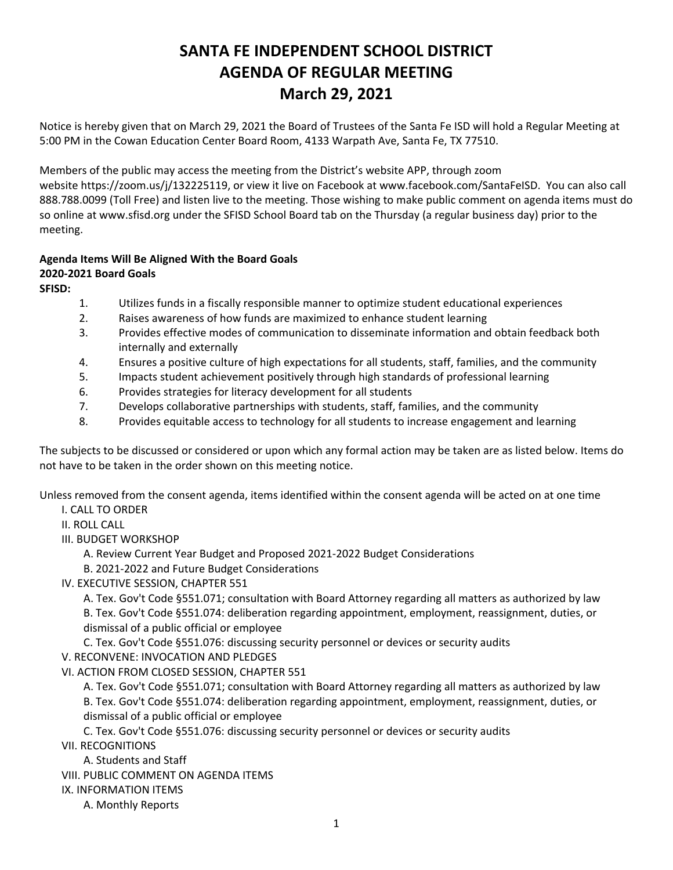# **SANTA FE INDEPENDENT SCHOOL DISTRICT AGENDA OF REGULAR MEETING March 29, 2021**

Notice is hereby given that on March 29, 2021 the Board of Trustees of the Santa Fe ISD will hold a Regular Meeting at 5:00 PM in the Cowan Education Center Board Room, 4133 Warpath Ave, Santa Fe, TX 77510.

Members of the public may access the meeting from the District's website APP, through zoom website <https://zoom.us/j/132225119>, or view it live on Facebook at [www.facebook.com/SantaFeISD](http://www.facebook.com/SantaFeISD). You can also call 888.788.0099 (Toll Free) and listen live to the meeting. Those wishing to make public comment on agenda items must do so online at www.sfisd.org under the SFISD School Board tab on the Thursday (a regular business day) prior to the meeting.

# **Agenda Items Will Be Aligned With the Board Goals 2020-2021 Board Goals**

**SFISD:** 

- 1. Utilizes funds in a fiscally responsible manner to optimize student educational experiences
- 2. Raises awareness of how funds are maximized to enhance student learning
- 3. Provides effective modes of communication to disseminate information and obtain feedback both internally and externally
- 4. Ensures a positive culture of high expectations for all students, staff, families, and the community
- 5. Impacts student achievement positively through high standards of professional learning
- 6. Provides strategies for literacy development for all students
- 7. Develops collaborative partnerships with students, staff, families, and the community
- 8. Provides equitable access to technology for all students to increase engagement and learning

The subjects to be discussed or considered or upon which any formal action may be taken are as listed below. Items do not have to be taken in the order shown on this meeting notice.

Unless removed from the consent agenda, items identified within the consent agenda will be acted on at one time I. CALL TO ORDER

II. ROLL CALL

- III. BUDGET WORKSHOP
	- A. Review Current Year Budget and Proposed 2021-2022 Budget Considerations
	- B. 2021-2022 and Future Budget Considerations
- IV. EXECUTIVE SESSION, CHAPTER 551

A. Tex. Gov't Code §551.071; consultation with Board Attorney regarding all matters as authorized by law B. Tex. Gov't Code §551.074: deliberation regarding appointment, employment, reassignment, duties, or dismissal of a public official or employee

C. Tex. Gov't Code §551.076: discussing security personnel or devices or security audits V. RECONVENE: INVOCATION AND PLEDGES

- VI. ACTION FROM CLOSED SESSION, CHAPTER 551
	- A. Tex. Gov't Code §551.071; consultation with Board Attorney regarding all matters as authorized by law

B. Tex. Gov't Code §551.074: deliberation regarding appointment, employment, reassignment, duties, or dismissal of a public official or employee

C. Tex. Gov't Code §551.076: discussing security personnel or devices or security audits

- VII. RECOGNITIONS
	- A. Students and Staff
- VIII. PUBLIC COMMENT ON AGENDA ITEMS
- IX. INFORMATION ITEMS
	- A. Monthly Reports